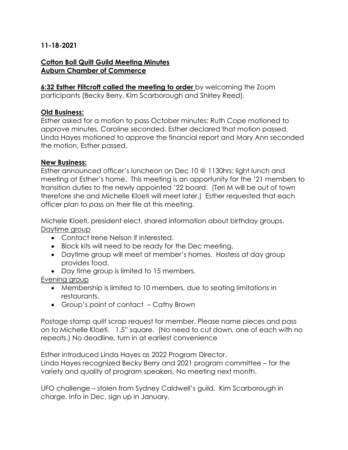# **11-18-2021**

# **Cotton Boll Quilt Guild Meeting Minutes Auburn Chamber of Commerce**

**6:32 Esther Flitcroft called the meeting to order** by welcoming the Zoom participants (Becky Berry, Kim Scarborough and Shirley Reed).

### **Old Business:**

Esther asked for a motion to pass October minutes; Ruth Cope motioned to approve minutes, Caroline seconded. Esther declared that motion passed. Linda Hayes motioned to approve the financial report and Mary Ann seconded the motion, Esther passed.

### **New Business:**

Esther announced officer's luncheon on Dec 10 @ 1130hrs; light lunch and meeting at Esther's home. This meeting is an opportunity for the '21 members to transition duties to the newly appointed '22 board. (Teri M will be out of town therefore she and Michelle Kloeti will meet later.) Esther requested that each officer plan to pass on their file at this meeting.

Michele Kloeti, president elect, shared information about birthday groups. Daytime group

- Contact Irene Nelson if interested.
- Block kits will need to be ready for the Dec meeting.
- Daytime group will meet at member's homes. Hostess at day group provides food.
- Day time group is limited to 15 members.

Evening group

- Membership is limited to 10 members, due to seating limitations in restaurants.
- Group's point of contact Cathy Brown

Postage stamp quilt scrap request for member. Please name pieces and pass on to Michelle Kloeti. 1.5" square. (No need to cut down, one of each with no repeats.) No deadline, turn in at earliest convenience

Esther introduced Linda Hayes as 2022 Program Director. Linda Hayes recognized Becky Berry and 2021 program committee – for the variety and quality of program speakers. No meeting next month.

UFO challenge – stolen from Sydney Caldwell's guild. Kim Scarborough in charge. Info in Dec, sign up in January.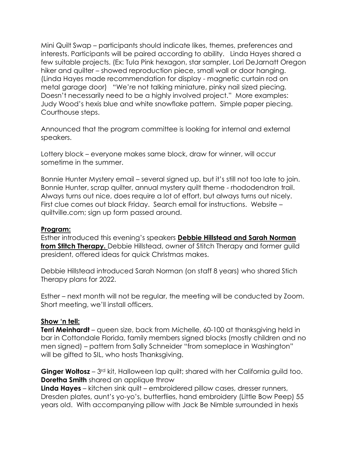Mini Quilt Swap – participants should indicate likes, themes, preferences and interests. Participants will be paired according to ability. Linda Hayes shared a few suitable projects. (Ex: Tula Pink hexagon, star sampler, Lori DeJarnatt Oregon hiker and quilter – showed reproduction piece, small wall or door hanging. (Linda Hayes made recommendation for display - magnetic curtain rod on metal garage door) "We're not talking miniature, pinky nail sized piecing. Doesn't necessarily need to be a highly involved project." More examples: Judy Wood's hexis blue and white snowflake pattern. Simple paper piecing. Courthouse steps.

Announced that the program committee is looking for internal and external speakers.

Lottery block – everyone makes same block, draw for winner, will occur sometime in the summer.

Bonnie Hunter Mystery email – several signed up, but it's still not too late to join. Bonnie Hunter, scrap quilter, annual mystery quilt theme - rhododendron trail. Always turns out nice, does require a lot of effort, but always turns out nicely. First clue comes out black Friday. Search email for instructions. Website – quiltville.com; sign up form passed around.

# **Program:**

Esther introduced this evening's speakers **Debbie Hillstead and Sarah Norman from Stitch Therapy.** Debbie Hillstead, owner of Stitch Therapy and former guild president, offered ideas for quick Christmas makes.

Debbie Hillstead introduced Sarah Norman (on staff 8 years) who shared Stich Therapy plans for 2022.

Esther – next month will not be regular, the meeting will be conducted by Zoom. Short meeting, we'll install officers.

# **Show 'n tell:**

**Terri Meinhardt** – queen size, back from Michelle, 60-100 at thanksgiving held in bar in Cottondale Florida, family members signed blocks (mostly children and no men signed) – pattern from Sally Schneider "from someplace in Washington" will be gifted to SIL, who hosts Thanksgiving.

**Ginger Woltosz** – 3<sup>rd</sup> kit, Halloween lap quilt; shared with her California guild too. **Doretha Smith** shared an applique throw

**Linda Hayes** – kitchen sink quilt – embroidered pillow cases, dresser runners, Dresden plates, aunt's yo-yo's, butterflies, hand embroidery (Little Bow Peep) 55 years old. With accompanying pillow with Jack Be Nimble surrounded in hexis